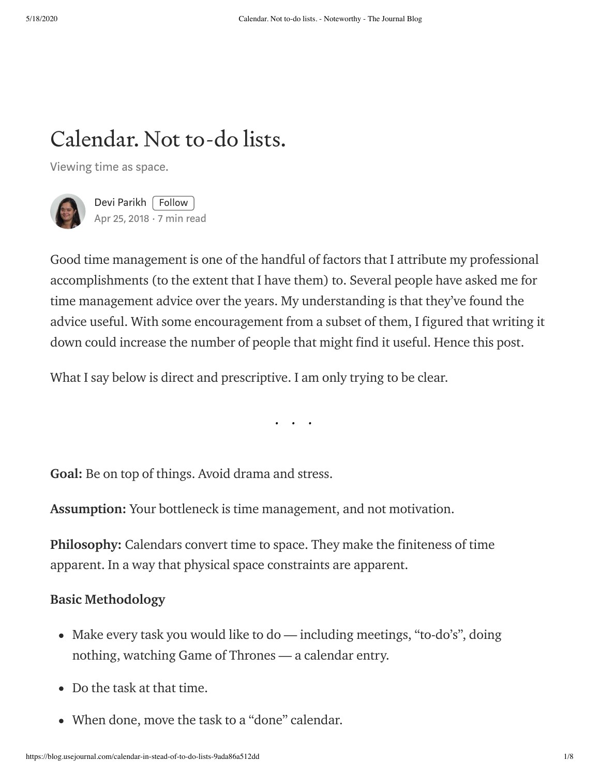# Calendar. Not to-do lists.

Viewing time as space.



Devi [Parikh](https://blog.usejournal.com/@deviparikh?source=post_page-----9ada86a512dd----------------------) | [Follow](https://medium.com/m/signin?operation=register&redirect=https%3A%2F%2Fblog.usejournal.com%2Fcalendar-in-stead-of-to-do-lists-9ada86a512dd&source=-640c3b846666-------------------------follow_byline-) | Apr 25, [2018](https://blog.usejournal.com/calendar-in-stead-of-to-do-lists-9ada86a512dd?source=post_page-----9ada86a512dd----------------------)  $\cdot$  7 min read

Good time management is one of the handful of factors that I attribute my professional accomplishments (to the extent that I have them) to. Several people have asked me for time management advice over the years. My understanding is that they've found the advice useful. With some encouragement from a subset of them, I figured that writing it down could increase the number of people that might find it useful. Hence this post.

What I say below is direct and prescriptive. I am only trying to be clear.

. . .

Goal: Be on top of things. Avoid drama and stress.

Assumption: Your bottleneck is time management, and not motivation.

Philosophy: Calendars convert time to space. They make the finiteness of time apparent. In a way that physical space constraints are apparent.

## Basic Methodology

- Make every task you would like to do including meetings, "to-do's", doing nothing, watching Game of Thrones — a calendar entry.
- Do the task at that time.
- When done, move the task to a "done" calendar.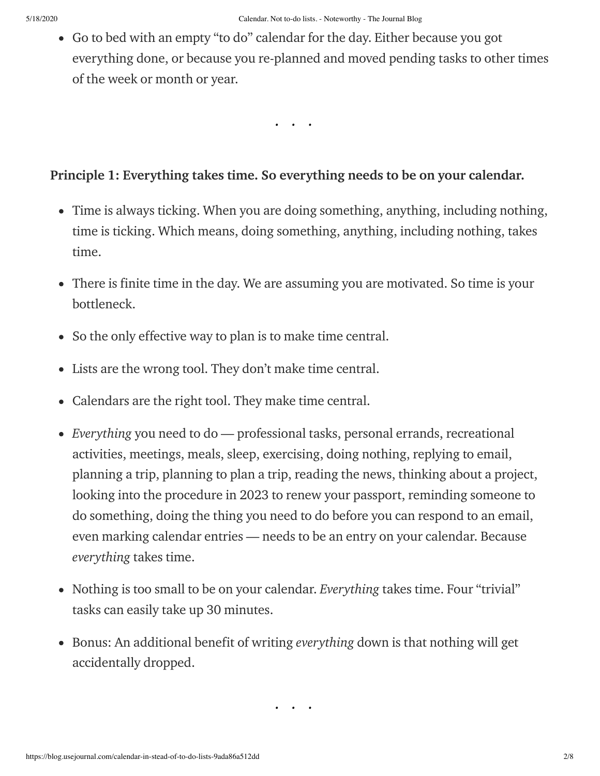Go to bed with an empty "to do" calendar for the day. Either because you got everything done, or because you re-planned and moved pending tasks to other times of the week or month or year.

. . .

#### Principle 1: Everything takes time. So everything needs to be on your calendar.

- Time is always ticking. When you are doing something, anything, including nothing, time is ticking. Which means, doing something, anything, including nothing, takes time.
- There is finite time in the day. We are assuming you are motivated. So time is your bottleneck.
- So the only effective way to plan is to make time central.
- Lists are the wrong tool. They don't make time central.
- Calendars are the right tool. They make time central.
- Everything you need to do professional tasks, personal errands, recreational activities, meetings, meals, sleep, exercising, doing nothing, replying to email, planning a trip, planning to plan a trip, reading the news, thinking about a project, looking into the procedure in 2023 to renew your passport, reminding someone to do something, doing the thing you need to do before you can respond to an email, even marking calendar entries — needs to be an entry on your calendar. Because everything takes time.
- Nothing is too small to be on your calendar. Everything takes time. Four "trivial" tasks can easily take up 30 minutes.
- Bonus: An additional benefit of writing everything down is that nothing will get accidentally dropped.

 $\cdot$  .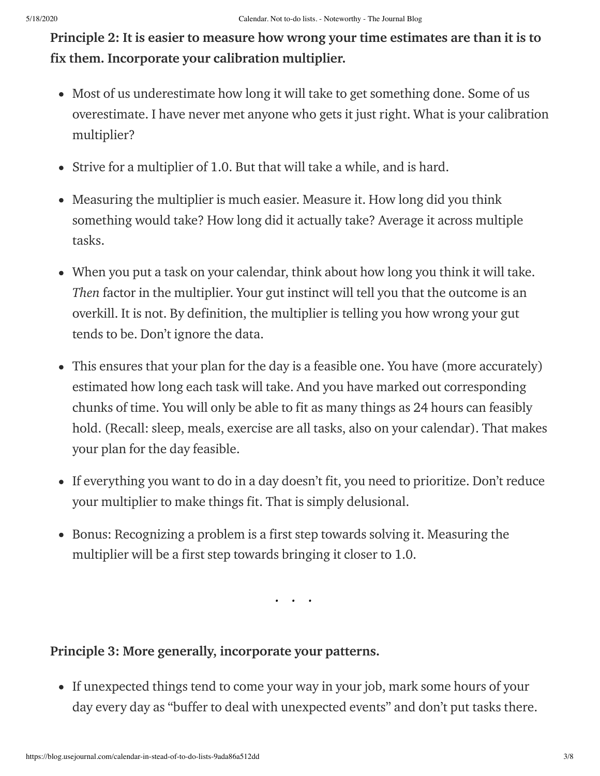Principle 2: It is easier to measure how wrong your time estimates are than it is to fix them. Incorporate your calibration multiplier.

- Most of us underestimate how long it will take to get something done. Some of us overestimate. I have never met anyone who gets it just right. What is your calibration multiplier?
- Strive for a multiplier of 1.0. But that will take a while, and is hard.
- Measuring the multiplier is much easier. Measure it. How long did you think something would take? How long did it actually take? Average it across multiple tasks.
- When you put a task on your calendar, think about how long you think it will take. Then factor in the multiplier. Your gut instinct will tell you that the outcome is an overkill. It is not. By definition, the multiplier is telling you how wrong your gut tends to be. Don't ignore the data.
- This ensures that your plan for the day is a feasible one. You have (more accurately) estimated how long each task will take. And you have marked out corresponding chunks of time. You will only be able to fit as many things as 24 hours can feasibly hold. (Recall: sleep, meals, exercise are all tasks, also on your calendar). That makes your plan for the day feasible.
- If everything you want to do in a day doesn't fit, you need to prioritize. Don't reduce your multiplier to make things fit. That is simply delusional.
- Bonus: Recognizing a problem is a first step towards solving it. Measuring the multiplier will be a first step towards bringing it closer to 1.0.

. . .

## Principle 3: More generally, incorporate your patterns.

• If unexpected things tend to come your way in your job, mark some hours of your day every day as "buffer to deal with unexpected events" and don't put tasks there.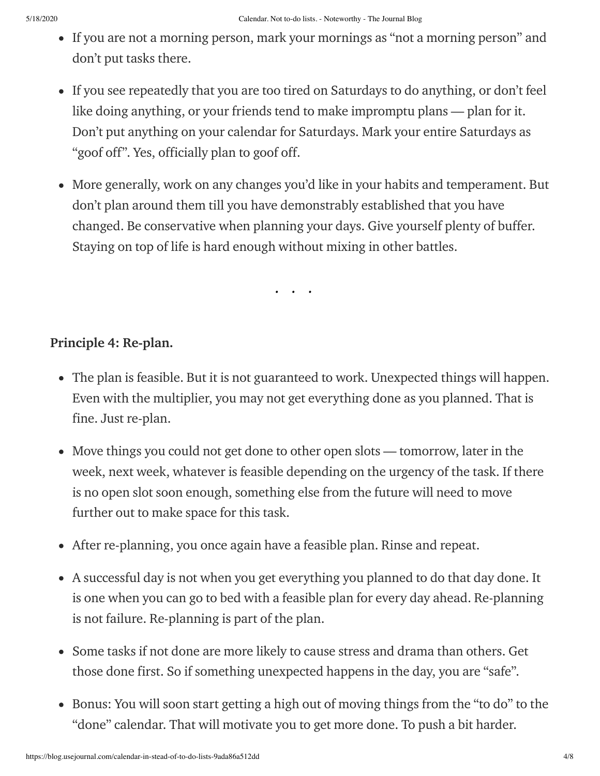- If you are not a morning person, mark your mornings as "not a morning person" and don't put tasks there.
- If you see repeatedly that you are too tired on Saturdays to do anything, or don't feel like doing anything, or your friends tend to make impromptu plans — plan for it. Don't put anything on your calendar for Saturdays. Mark your entire Saturdays as "goof off". Yes, officially plan to goof off.
- More generally, work on any changes you'd like in your habits and temperament. But don't plan around them till you have demonstrably established that you have changed. Be conservative when planning your days. Give yourself plenty of buffer. Staying on top of life is hard enough without mixing in other battles.

. . .

## Principle 4: Re-plan.

- The plan is feasible. But it is not guaranteed to work. Unexpected things will happen. Even with the multiplier, you may not get everything done as you planned. That is fine. Just re-plan.
- Move things you could not get done to other open slots tomorrow, later in the week, next week, whatever is feasible depending on the urgency of the task. If there is no open slot soon enough, something else from the future will need to move further out to make space for this task.
- After re-planning, you once again have a feasible plan. Rinse and repeat.
- A successful day is not when you get everything you planned to do that day done. It is one when you can go to bed with a feasible plan for every day ahead. Re-planning is not failure. Re-planning is part of the plan.
- Some tasks if not done are more likely to cause stress and drama than others. Get those done first. So if something unexpected happens in the day, you are "safe".
- Bonus: You will soon start getting a high out of moving things from the "to do" to the "done" calendar. That will motivate you to get more done. To push a bit harder.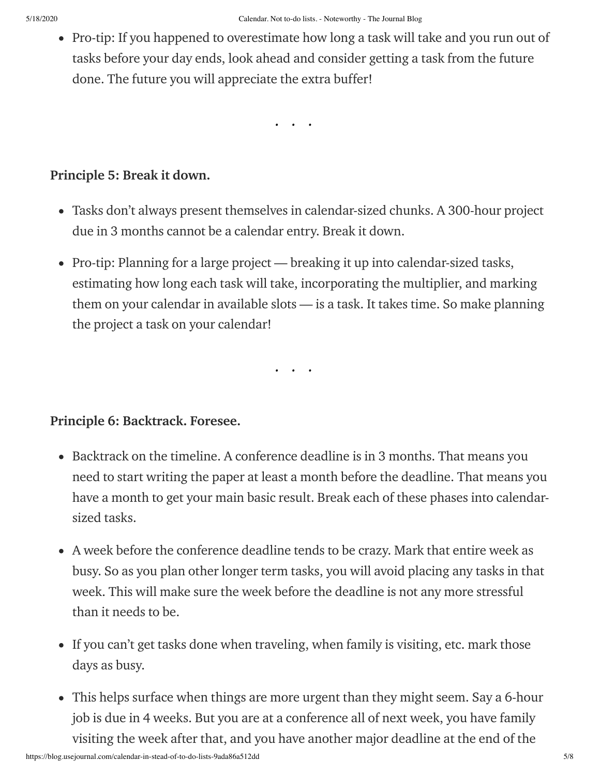• Pro-tip: If you happened to overestimate how long a task will take and you run out of tasks before your day ends, look ahead and consider getting a task from the future done. The future you will appreciate the extra buffer!

. . .

## Principle 5: Break it down.

- Tasks don't always present themselves in calendar-sized chunks. A 300-hour project due in 3 months cannot be a calendar entry. Break it down.
- Pro-tip: Planning for a large project breaking it up into calendar-sized tasks, estimating how long each task will take, incorporating the multiplier, and marking them on your calendar in available slots — is a task. It takes time. So make planning the project a task on your calendar!

. . .

## Principle 6: Backtrack. Foresee.

- Backtrack on the timeline. A conference deadline is in 3 months. That means you need to start writing the paper at least a month before the deadline. That means you have a month to get your main basic result. Break each of these phases into calendarsized tasks.
- A week before the conference deadline tends to be crazy. Mark that entire week as busy. So as you plan other longer term tasks, you will avoid placing any tasks in that week. This will make sure the week before the deadline is not any more stressful than it needs to be.
- If you can't get tasks done when traveling, when family is visiting, etc. mark those days as busy.
- This helps surface when things are more urgent than they might seem. Say a 6-hour job is due in 4 weeks. But you are at a conference all of next week, you have family visiting the week after that, and you have another major deadline at the end of the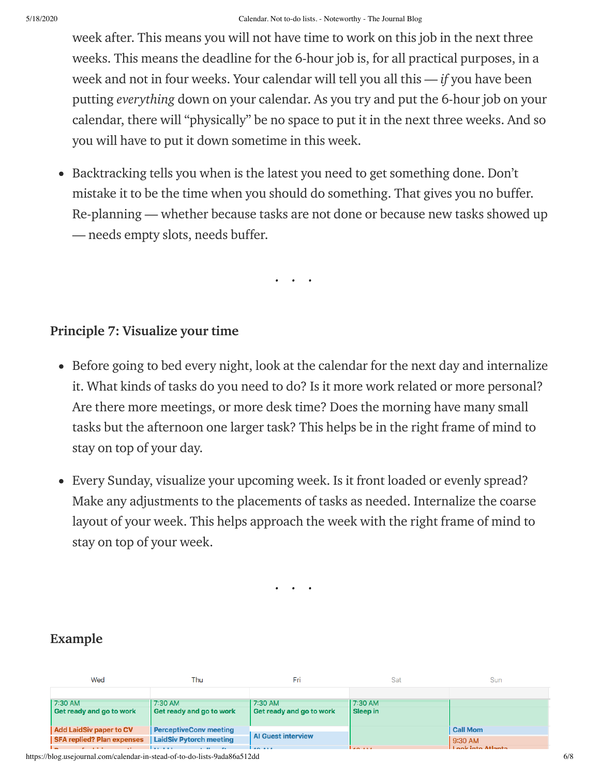week after. This means you will not have time to work on this job in the next three weeks. This means the deadline for the 6-hour job is, for all practical purposes, in a week and not in four weeks. Your calendar will tell you all this  $-$  *if* you have been putting everything down on your calendar. As you try and put the 6-hour job on your calendar, there will "physically" be no space to put it in the next three weeks. And so you will have to put it down sometime in this week.

• Backtracking tells you when is the latest you need to get something done. Don't mistake it to be the time when you should do something. That gives you no buffer. Re-planning — whether because tasks are not done or because new tasks showed up — needs empty slots, needs buffer.

. . .

#### Principle 7: Visualize your time

- Before going to bed every night, look at the calendar for the next day and internalize it. What kinds of tasks do you need to do? Is it more work related or more personal? Are there more meetings, or more desk time? Does the morning have many small tasks but the afternoon one larger task? This helps be in the right frame of mind to stay on top of your day.
- Every Sunday, visualize your upcoming week. Is it front loaded or evenly spread? Make any adjustments to the placements of tasks as needed. Internalize the coarse layout of your week. This helps approach the week with the right frame of mind to stay on top of your week.

. . .

## Example

| Wed                               | Thu                           | Fri                       | Sat      | Sun                           |
|-----------------------------------|-------------------------------|---------------------------|----------|-------------------------------|
|                                   |                               |                           |          |                               |
| 7:30 AM                           | 7:30 AM                       | 7:30 AM                   | 7:30 AM  |                               |
| Get ready and go to work          | Get ready and go to work      | Get ready and go to work  | Sleep in |                               |
|                                   |                               |                           |          |                               |
| <b>Add LaidSiv paper to CV</b>    | <b>PerceptiveConv meeting</b> | <b>Al Guest interview</b> |          | <b>Call Mom</b>               |
| <b>SFA replied? Plan expenses</b> | LaidSiv Pytorch meeting       |                           |          | $9:30$ AM                     |
|                                   |                               | $\cdots$                  | .        | المفعوماتية المشاريا والممرار |

https://blog.usejournal.com/calendar-in-stead-of-to-do-lists-9ada86a512dd 6/8